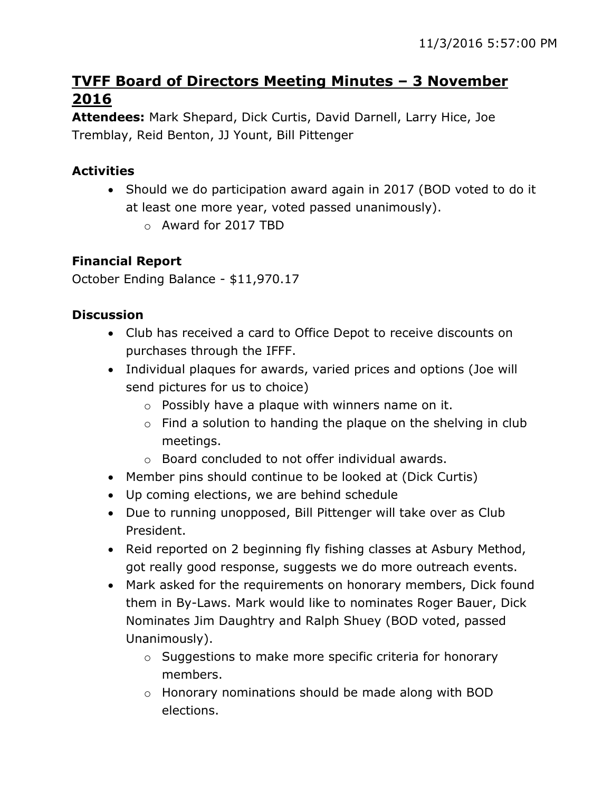# **TVFF Board of Directors Meeting Minutes – 3 November 2016**

**Attendees:** Mark Shepard, Dick Curtis, David Darnell, Larry Hice, Joe Tremblay, Reid Benton, JJ Yount, Bill Pittenger

## **Activities**

- Should we do participation award again in 2017 (BOD voted to do it at least one more year, voted passed unanimously).
	- o Award for 2017 TBD

## **Financial Report**

October Ending Balance - \$11,970.17

## **Discussion**

- Club has received a card to Office Depot to receive discounts on purchases through the IFFF.
- Individual plaques for awards, varied prices and options (Joe will send pictures for us to choice)
	- $\circ$  Possibly have a plaque with winners name on it.
	- $\circ$  Find a solution to handing the plaque on the shelving in club meetings.
	- o Board concluded to not offer individual awards.
- Member pins should continue to be looked at (Dick Curtis)
- Up coming elections, we are behind schedule
- Due to running unopposed, Bill Pittenger will take over as Club President.
- Reid reported on 2 beginning fly fishing classes at Asbury Method, got really good response, suggests we do more outreach events.
- Mark asked for the requirements on honorary members, Dick found them in By-Laws. Mark would like to nominates Roger Bauer, Dick Nominates Jim Daughtry and Ralph Shuey (BOD voted, passed Unanimously).
	- o Suggestions to make more specific criteria for honorary members.
	- o Honorary nominations should be made along with BOD elections.